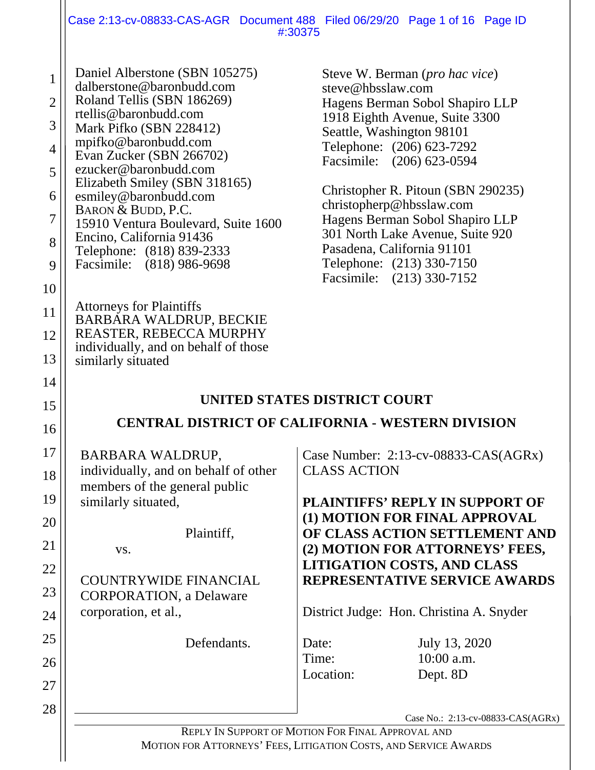|                                                                                |                                                                                                                                                                                                                                                                                                                                                                                                                                         | Case 2:13-cv-08833-CAS-AGR Document 488 Filed 06/29/20 Page 1 of 16 Page ID<br>#:30375                                                                                                                                                                                                                                                                                                                                                                    |
|--------------------------------------------------------------------------------|-----------------------------------------------------------------------------------------------------------------------------------------------------------------------------------------------------------------------------------------------------------------------------------------------------------------------------------------------------------------------------------------------------------------------------------------|-----------------------------------------------------------------------------------------------------------------------------------------------------------------------------------------------------------------------------------------------------------------------------------------------------------------------------------------------------------------------------------------------------------------------------------------------------------|
| $\mathbf{1}$<br>$\overline{2}$<br>3<br>$\overline{4}$<br>5<br>6<br>7<br>8<br>9 | Daniel Alberstone (SBN 105275)<br>dalberstone@baronbudd.com<br>Roland Tellis (SBN 186269)<br>rtellis@baronbudd.com<br>Mark Pifko (SBN 228412)<br>mpifko@baronbudd.com<br>Evan Zucker (SBN 266702)<br>ezucker@baronbudd.com<br>Elizabeth Smiley (SBN 318165)<br>esmiley@baronbudd.com<br>BARON & BUDD, P.C.<br>15910 Ventura Boulevard, Suite 1600<br>Encino, California 91436<br>Telephone: (818) 839-2333<br>Facsimile: (818) 986-9698 | Steve W. Berman ( <i>pro hac vice</i> )<br>steve@hbsslaw.com<br>Hagens Berman Sobol Shapiro LLP<br>1918 Eighth Avenue, Suite 3300<br>Seattle, Washington 98101<br>Telephone: (206) 623-7292<br>Facsimile: (206) 623-0594<br>Christopher R. Pitoun (SBN 290235)<br>christopherp@hbsslaw.com<br>Hagens Berman Sobol Shapiro LLP<br>301 North Lake Avenue, Suite 920<br>Pasadena, California 91101<br>Telephone: (213) 330-7150<br>Facsimile: (213) 330-7152 |
| 10<br>11<br>12<br>13                                                           | <b>Attorneys for Plaintiffs</b><br>BARBARA WALDRUP, BECKIE<br>REASTER, REBECCA MURPHY<br>individually, and on behalf of those<br>similarly situated                                                                                                                                                                                                                                                                                     |                                                                                                                                                                                                                                                                                                                                                                                                                                                           |
| 14<br>15<br>16                                                                 |                                                                                                                                                                                                                                                                                                                                                                                                                                         | UNITED STATES DISTRICT COURT<br><b>CENTRAL DISTRICT OF CALIFORNIA - WESTERN DIVISION</b>                                                                                                                                                                                                                                                                                                                                                                  |
| 17<br>18<br>19<br>20<br>21<br>22<br>23<br>24<br>25<br>26<br>27<br>28           | <b>BARBARA WALDRUP,</b><br>individually, and on behalf of other<br>members of the general public<br>similarly situated,<br>Plaintiff,<br>VS.<br><b>COUNTRYWIDE FINANCIAL</b><br><b>CORPORATION</b> , a Delaware<br>corporation, et al.,<br>Defendants.                                                                                                                                                                                  | Case Number: 2:13-cv-08833-CAS(AGRx)<br><b>CLASS ACTION</b><br><b>PLAINTIFFS' REPLY IN SUPPORT OF</b><br>(1) MOTION FOR FINAL APPROVAL<br>OF CLASS ACTION SETTLEMENT AND<br>(2) MOTION FOR ATTORNEYS' FEES,<br><b>LITIGATION COSTS, AND CLASS</b><br>REPRESENTATIVE SERVICE AWARDS<br>District Judge: Hon. Christina A. Snyder<br>Date:<br>July 13, 2020<br>$10:00$ a.m.<br>Time:<br>Location:<br>Dept. 8D                                                |
|                                                                                |                                                                                                                                                                                                                                                                                                                                                                                                                                         | Case No.: 2:13-cv-08833-CAS(AGRx)<br>REPLY IN SUPPORT OF MOTION FOR FINAL APPROVAL AND                                                                                                                                                                                                                                                                                                                                                                    |

MOTION FOR ATTORNEYS' FEES, LITIGATION COSTS, AND SERVICE AWARDS

 $\mathbf{\mathsf{I}}$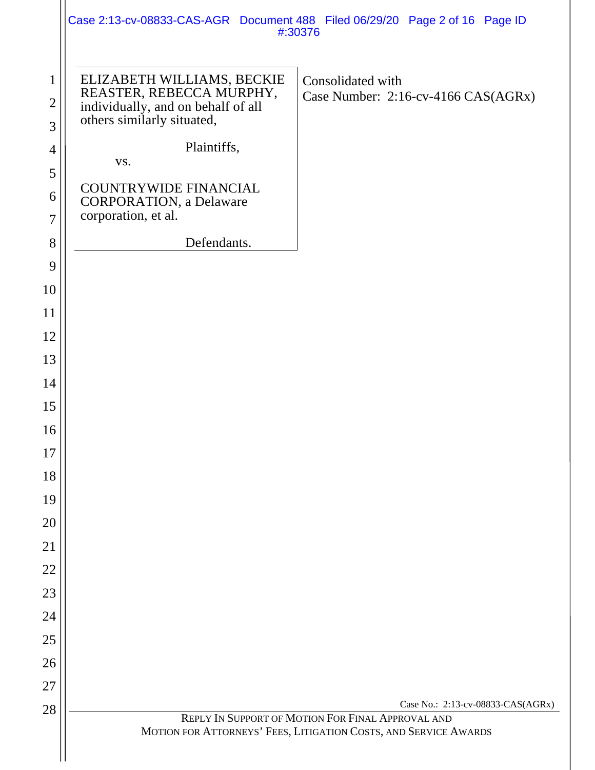|                                     |                                                                                                                            | Case 2:13-cv-08833-CAS-AGR Document 488 Filed 06/29/20 Page 2 of 16 Page ID<br>#:30376                                                                     |
|-------------------------------------|----------------------------------------------------------------------------------------------------------------------------|------------------------------------------------------------------------------------------------------------------------------------------------------------|
| $\mathbf{1}$<br>$\overline{2}$<br>3 | ELIZABETH WILLIAMS, BECKIE<br>REASTER, REBECCA MURPHY,<br>individually, and on behalf of all<br>others similarly situated, | Consolidated with<br>Case Number: 2:16-cv-4166 CAS(AGRx)                                                                                                   |
| 4                                   | Plaintiffs,                                                                                                                |                                                                                                                                                            |
| 5                                   | VS.                                                                                                                        |                                                                                                                                                            |
| 6<br>$\overline{7}$                 | <b>COUNTRYWIDE FINANCIAL</b><br><b>CORPORATION</b> , a Delaware<br>corporation, et al.                                     |                                                                                                                                                            |
| 8                                   | Defendants.                                                                                                                |                                                                                                                                                            |
| 9                                   |                                                                                                                            |                                                                                                                                                            |
| 10                                  |                                                                                                                            |                                                                                                                                                            |
| 11                                  |                                                                                                                            |                                                                                                                                                            |
| 12                                  |                                                                                                                            |                                                                                                                                                            |
| 13                                  |                                                                                                                            |                                                                                                                                                            |
| 14                                  |                                                                                                                            |                                                                                                                                                            |
| 15                                  |                                                                                                                            |                                                                                                                                                            |
| 16                                  |                                                                                                                            |                                                                                                                                                            |
| 17                                  |                                                                                                                            |                                                                                                                                                            |
| 18                                  |                                                                                                                            |                                                                                                                                                            |
| 19                                  |                                                                                                                            |                                                                                                                                                            |
| 20                                  |                                                                                                                            |                                                                                                                                                            |
| 21                                  |                                                                                                                            |                                                                                                                                                            |
| 22                                  |                                                                                                                            |                                                                                                                                                            |
| 23                                  |                                                                                                                            |                                                                                                                                                            |
| 24                                  |                                                                                                                            |                                                                                                                                                            |
| 25                                  |                                                                                                                            |                                                                                                                                                            |
| 26                                  |                                                                                                                            |                                                                                                                                                            |
| 27                                  |                                                                                                                            |                                                                                                                                                            |
| 28                                  |                                                                                                                            | Case No.: 2:13-cv-08833-CAS(AGRx)<br>REPLY IN SUPPORT OF MOTION FOR FINAL APPROVAL AND<br>MOTION FOR ATTORNEYS' FEES, LITIGATION COSTS, AND SERVICE AWARDS |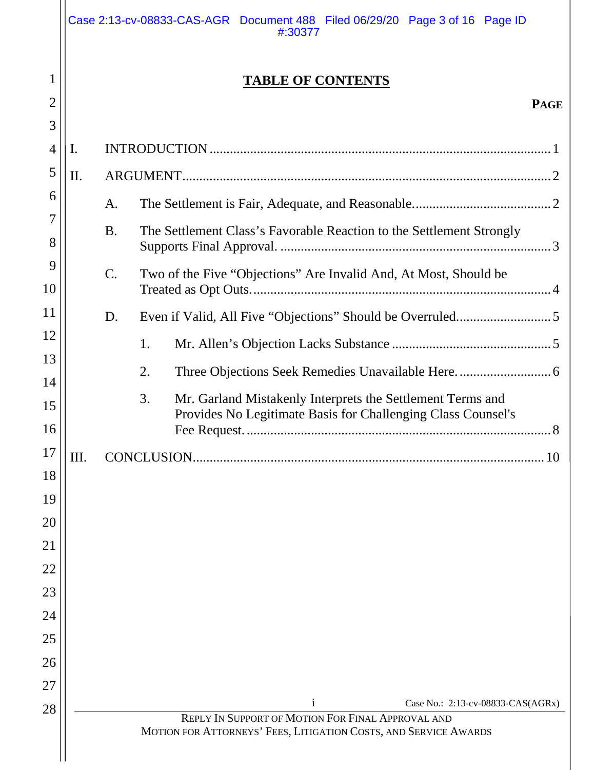|                                              |    |                 | <b>TABLE OF CONTENTS</b>                                                                                                   |
|----------------------------------------------|----|-----------------|----------------------------------------------------------------------------------------------------------------------------|
| 2                                            |    |                 | <b>PAGE</b>                                                                                                                |
| 3                                            |    |                 |                                                                                                                            |
| $\overline{4}$                               | I. |                 |                                                                                                                            |
| 5                                            | Π. |                 |                                                                                                                            |
| 6                                            |    | A.              |                                                                                                                            |
| 7<br>8                                       |    | <b>B.</b>       | The Settlement Class's Favorable Reaction to the Settlement Strongly                                                       |
| 9<br>10                                      |    | $\mathcal{C}$ . | Two of the Five "Objections" Are Invalid And, At Most, Should be                                                           |
| 11                                           |    | D.              |                                                                                                                            |
| 12                                           |    | 1.              |                                                                                                                            |
| 13                                           |    | 2.              |                                                                                                                            |
| 14<br>15<br>16                               |    | 3.              | Mr. Garland Mistakenly Interprets the Settlement Terms and<br>Provides No Legitimate Basis for Challenging Class Counsel's |
| 17                                           |    | CONCLUSION.     |                                                                                                                            |
| 18                                           | Ш. |                 | 10                                                                                                                         |
|                                              |    |                 |                                                                                                                            |
|                                              |    |                 |                                                                                                                            |
|                                              |    |                 |                                                                                                                            |
|                                              |    |                 |                                                                                                                            |
|                                              |    |                 |                                                                                                                            |
|                                              |    |                 |                                                                                                                            |
|                                              |    |                 |                                                                                                                            |
|                                              |    |                 |                                                                                                                            |
| 19<br>20<br>21<br>22<br>23<br>24<br>25<br>26 |    |                 |                                                                                                                            |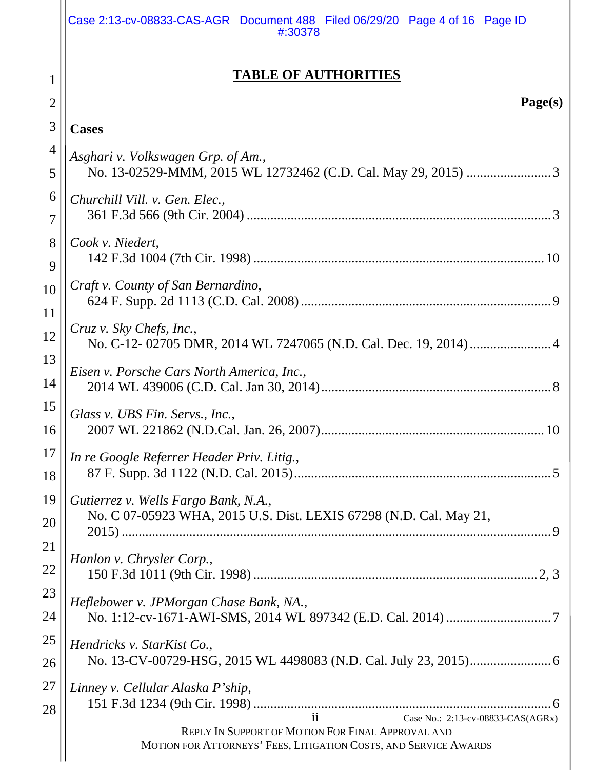|                | Case 2:13-cv-08833-CAS-AGR Document 488 Filed 06/29/20 Page 4 of 16 Page ID<br>#:30378                                |
|----------------|-----------------------------------------------------------------------------------------------------------------------|
| 2              | <b>TABLE OF AUTHORITIES</b><br>Page(s)                                                                                |
| 3              | <b>Cases</b>                                                                                                          |
| $\overline{4}$ | Asghari v. Volkswagen Grp. of Am.,                                                                                    |
| 5              |                                                                                                                       |
| 6              | Churchill Vill. v. Gen. Elec.,                                                                                        |
| 7              |                                                                                                                       |
| 8              | Cook v. Niedert,                                                                                                      |
| 9              |                                                                                                                       |
| 10             | Craft v. County of San Bernardino,                                                                                    |
| 11             |                                                                                                                       |
| 12             | Cruz v. Sky Chefs, Inc.,                                                                                              |
| 13             |                                                                                                                       |
| 14             | Eisen v. Porsche Cars North America, Inc.,                                                                            |
| 15             | Glass v. UBS Fin. Servs., Inc.,                                                                                       |
| 16             |                                                                                                                       |
| 17             | In re Google Referrer Header Priv. Litig.,                                                                            |
| 18             |                                                                                                                       |
| 19             | Gutierrez v. Wells Fargo Bank, N.A.,                                                                                  |
| 20             | No. C 07-05923 WHA, 2015 U.S. Dist. LEXIS 67298 (N.D. Cal. May 21,                                                    |
| 21             |                                                                                                                       |
| <u>22</u>      | Hanlon v. Chrysler Corp.,                                                                                             |
| 23             | Heflebower v. JPMorgan Chase Bank, NA.,                                                                               |
| 24             |                                                                                                                       |
| 25             | Hendricks v. StarKist Co.,                                                                                            |
| 26             |                                                                                                                       |
| 27<br>28       | Linney v. Cellular Alaska P'ship,<br>Case No.: 2:13-cv-08833-CAS(AGRx)                                                |
|                | REPLY IN SUPPORT OF MOTION FOR FINAL APPROVAL AND<br>MOTION FOR ATTORNEYS' FEES, LITIGATION COSTS, AND SERVICE AWARDS |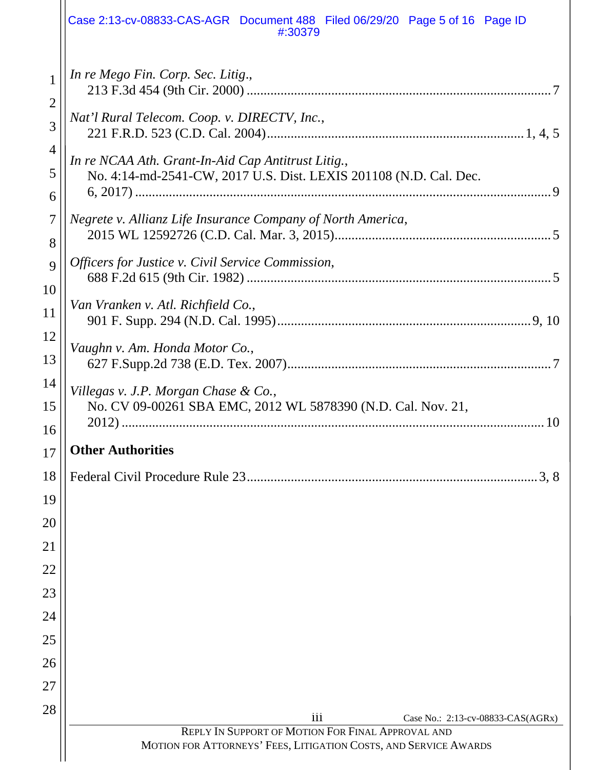|                          | Case 2:13-cv-08833-CAS-AGR Document 488 Filed 06/29/20 Page 5 of 16 Page ID<br>#:30379                                  |
|--------------------------|-------------------------------------------------------------------------------------------------------------------------|
| 1<br>$\overline{2}$      | In re Mego Fin. Corp. Sec. Litig.,                                                                                      |
| 3                        | Nat'l Rural Telecom. Coop. v. DIRECTV, Inc.,                                                                            |
| $\overline{4}$<br>5<br>6 | In re NCAA Ath. Grant-In-Aid Cap Antitrust Litig.,<br>No. 4:14-md-2541-CW, 2017 U.S. Dist. LEXIS 201108 (N.D. Cal. Dec. |
| $\overline{7}$<br>8      | Negrete v. Allianz Life Insurance Company of North America,                                                             |
| 9<br>10                  | Officers for Justice v. Civil Service Commission,                                                                       |
| 11                       | Van Vranken v. Atl. Richfield Co.,                                                                                      |
| 12<br>13                 | Vaughn v. Am. Honda Motor Co.,                                                                                          |
| 14<br>15                 | Villegas v. J.P. Morgan Chase & Co.,<br>No. CV 09-00261 SBA EMC, 2012 WL 5878390 (N.D. Cal. Nov. 21,                    |
| 16<br>17                 | <b>Other Authorities</b>                                                                                                |
| 18                       | Federal Civil Procedure Rule 23<br>3.8                                                                                  |
| 19                       |                                                                                                                         |
| 20                       |                                                                                                                         |
| 21                       |                                                                                                                         |
| 22                       |                                                                                                                         |
| 23                       |                                                                                                                         |
| 24                       |                                                                                                                         |
| 25                       |                                                                                                                         |
| 26                       |                                                                                                                         |
| 27                       |                                                                                                                         |
| 28                       | $\overline{111}$<br>Case No.: 2:13-cv-08833-CAS(AGRx)                                                                   |
|                          | REPLY IN SUPPORT OF MOTION FOR FINAL APPROVAL AND<br>MOTION FOR ATTORNEYS' FEES, LITIGATION COSTS, AND SERVICE AWARDS   |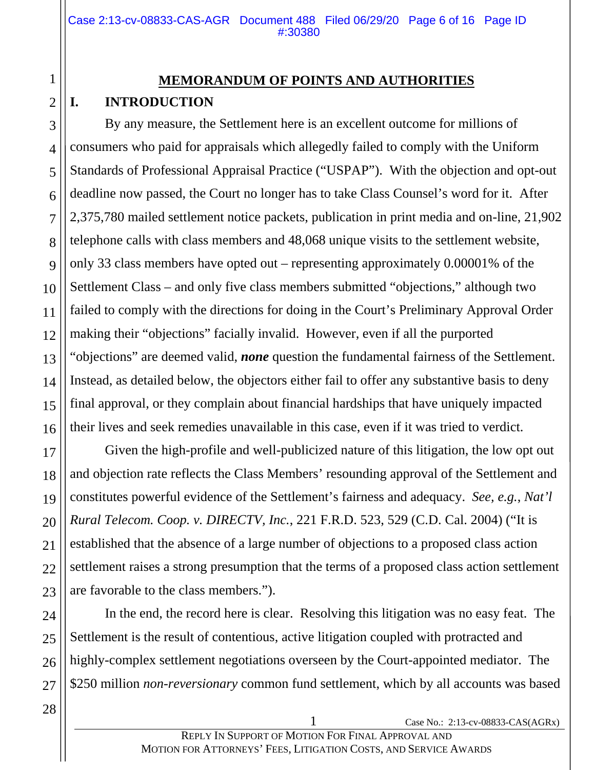# **MEMORANDUM OF POINTS AND AUTHORITIES I. INTRODUCTION**

By any measure, the Settlement here is an excellent outcome for millions of consumers who paid for appraisals which allegedly failed to comply with the Uniform Standards of Professional Appraisal Practice ("USPAP"). With the objection and opt-out deadline now passed, the Court no longer has to take Class Counsel's word for it. After 2,375,780 mailed settlement notice packets, publication in print media and on-line, 21,902 telephone calls with class members and 48,068 unique visits to the settlement website, only 33 class members have opted out – representing approximately 0.00001% of the Settlement Class – and only five class members submitted "objections," although two failed to comply with the directions for doing in the Court's Preliminary Approval Order making their "objections" facially invalid. However, even if all the purported "objections" are deemed valid, *none* question the fundamental fairness of the Settlement. Instead, as detailed below, the objectors either fail to offer any substantive basis to deny final approval, or they complain about financial hardships that have uniquely impacted their lives and seek remedies unavailable in this case, even if it was tried to verdict.

Given the high-profile and well-publicized nature of this litigation, the low opt out and objection rate reflects the Class Members' resounding approval of the Settlement and constitutes powerful evidence of the Settlement's fairness and adequacy. *See, e.g.*, *Nat'l Rural Telecom. Coop. v. DIRECTV, Inc.*, 221 F.R.D. 523, 529 (C.D. Cal. 2004) ("It is established that the absence of a large number of objections to a proposed class action settlement raises a strong presumption that the terms of a proposed class action settlement are favorable to the class members.").

In the end, the record here is clear. Resolving this litigation was no easy feat. The Settlement is the result of contentious, active litigation coupled with protracted and highly-complex settlement negotiations overseen by the Court-appointed mediator. The \$250 million *non-reversionary* common fund settlement, which by all accounts was based

1

2

3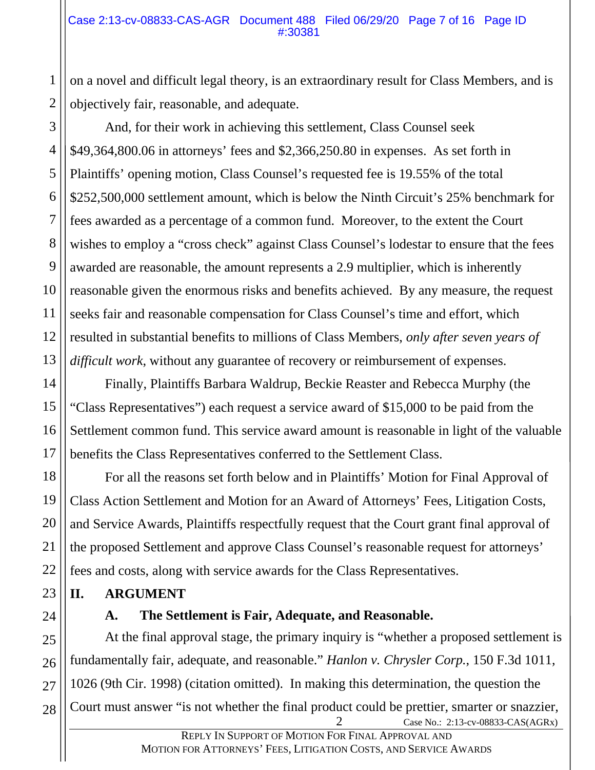#### Case 2:13-cv-08833-CAS-AGR Document 488 Filed 06/29/20 Page 7 of 16 Page ID #:30381

on a novel and difficult legal theory, is an extraordinary result for Class Members, and is objectively fair, reasonable, and adequate.

And, for their work in achieving this settlement, Class Counsel seek \$49,364,800.06 in attorneys' fees and \$2,366,250.80 in expenses. As set forth in Plaintiffs' opening motion, Class Counsel's requested fee is 19.55% of the total \$252,500,000 settlement amount, which is below the Ninth Circuit's 25% benchmark for fees awarded as a percentage of a common fund. Moreover, to the extent the Court wishes to employ a "cross check" against Class Counsel's lodestar to ensure that the fees awarded are reasonable, the amount represents a 2.9 multiplier, which is inherently reasonable given the enormous risks and benefits achieved. By any measure, the request seeks fair and reasonable compensation for Class Counsel's time and effort, which resulted in substantial benefits to millions of Class Members, *only after seven years of difficult work*, without any guarantee of recovery or reimbursement of expenses.

Finally, Plaintiffs Barbara Waldrup, Beckie Reaster and Rebecca Murphy (the "Class Representatives") each request a service award of \$15,000 to be paid from the Settlement common fund. This service award amount is reasonable in light of the valuable benefits the Class Representatives conferred to the Settlement Class.

For all the reasons set forth below and in Plaintiffs' Motion for Final Approval of Class Action Settlement and Motion for an Award of Attorneys' Fees, Litigation Costs, and Service Awards, Plaintiffs respectfully request that the Court grant final approval of the proposed Settlement and approve Class Counsel's reasonable request for attorneys' fees and costs, along with service awards for the Class Representatives.

## **II. ARGUMENT**

## **A. The Settlement is Fair, Adequate, and Reasonable.**

Case No.: 2:13-cv-08833-CAS(AGRx) At the final approval stage, the primary inquiry is "whether a proposed settlement is fundamentally fair, adequate, and reasonable." *Hanlon v. Chrysler Corp.*, 150 F.3d 1011, 1026 (9th Cir. 1998) (citation omitted). In making this determination, the question the Court must answer "is not whether the final product could be prettier, smarter or snazzier,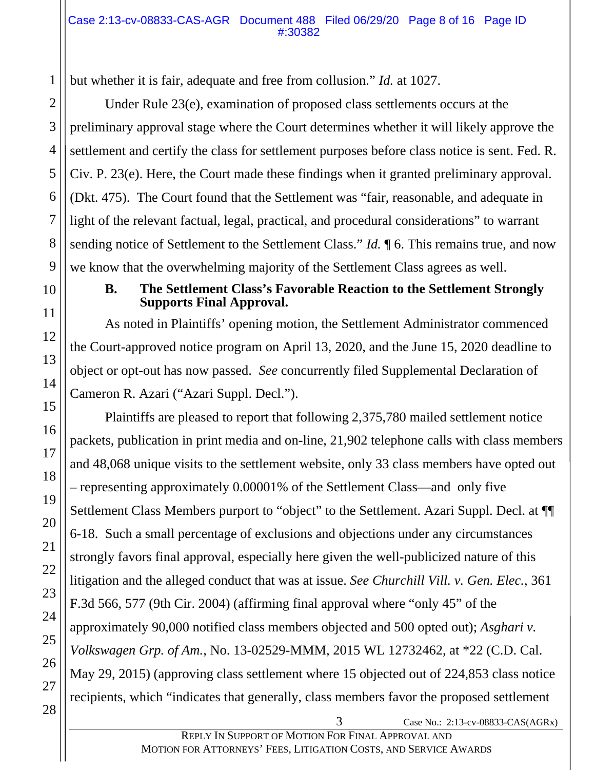but whether it is fair, adequate and free from collusion." *Id.* at 1027.

Under Rule 23(e), examination of proposed class settlements occurs at the preliminary approval stage where the Court determines whether it will likely approve the settlement and certify the class for settlement purposes before class notice is sent. Fed. R. Civ. P. 23(e). Here, the Court made these findings when it granted preliminary approval. (Dkt. 475). The Court found that the Settlement was "fair, reasonable, and adequate in light of the relevant factual, legal, practical, and procedural considerations" to warrant sending notice of Settlement to the Settlement Class." *Id.*  $\parallel$  6. This remains true, and now we know that the overwhelming majority of the Settlement Class agrees as well.

## **B. The Settlement Class's Favorable Reaction to the Settlement Strongly Supports Final Approval.**

As noted in Plaintiffs' opening motion, the Settlement Administrator commenced the Court-approved notice program on April 13, 2020, and the June 15, 2020 deadline to object or opt-out has now passed. *See* concurrently filed Supplemental Declaration of Cameron R. Azari ("Azari Suppl. Decl.").

Plaintiffs are pleased to report that following 2,375,780 mailed settlement notice packets, publication in print media and on-line, 21,902 telephone calls with class members and 48,068 unique visits to the settlement website, only 33 class members have opted out – representing approximately 0.00001% of the Settlement Class—and only five Settlement Class Members purport to "object" to the Settlement. Azari Suppl. Decl. at ¶¶ 6-18. Such a small percentage of exclusions and objections under any circumstances strongly favors final approval, especially here given the well-publicized nature of this litigation and the alleged conduct that was at issue. *See Churchill Vill. v. Gen. Elec.*, 361 F.3d 566, 577 (9th Cir. 2004) (affirming final approval where "only 45" of the approximately 90,000 notified class members objected and 500 opted out); *Asghari v. Volkswagen Grp. of Am.*, No. 13-02529-MMM, 2015 WL 12732462, at \*22 (C.D. Cal. May 29, 2015) (approving class settlement where 15 objected out of 224,853 class notice recipients, which "indicates that generally, class members favor the proposed settlement

REPLY IN SUPPORT OF MOTION FOR FINAL APPROVAL AND MOTION FOR ATTORNEYS' FEES, LITIGATION COSTS, AND SERVICE AWARDS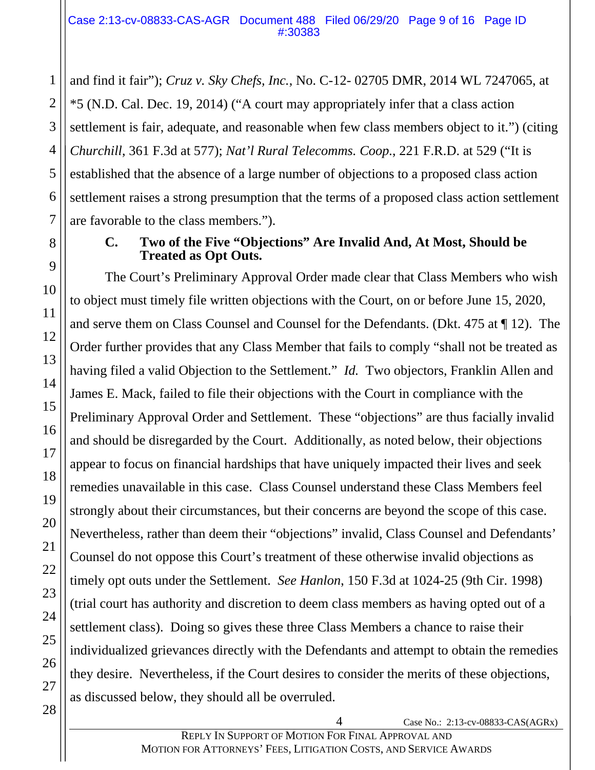and find it fair"); *Cruz v. Sky Chefs, Inc.*, No. C-12- 02705 DMR, 2014 WL 7247065, at \*5 (N.D. Cal. Dec. 19, 2014) ("A court may appropriately infer that a class action settlement is fair, adequate, and reasonable when few class members object to it.") (citing *Churchill*, 361 F.3d at 577); *Nat'l Rural Telecomms. Coop.*, 221 F.R.D. at 529 ("It is established that the absence of a large number of objections to a proposed class action settlement raises a strong presumption that the terms of a proposed class action settlement are favorable to the class members.").

## **C. Two of the Five "Objections" Are Invalid And, At Most, Should be Treated as Opt Outs.**

The Court's Preliminary Approval Order made clear that Class Members who wish to object must timely file written objections with the Court, on or before June 15, 2020, and serve them on Class Counsel and Counsel for the Defendants. (Dkt. 475 at ¶ 12). The Order further provides that any Class Member that fails to comply "shall not be treated as having filed a valid Objection to the Settlement." *Id.* Two objectors, Franklin Allen and James E. Mack, failed to file their objections with the Court in compliance with the Preliminary Approval Order and Settlement. These "objections" are thus facially invalid and should be disregarded by the Court. Additionally, as noted below, their objections appear to focus on financial hardships that have uniquely impacted their lives and seek remedies unavailable in this case. Class Counsel understand these Class Members feel strongly about their circumstances, but their concerns are beyond the scope of this case. Nevertheless, rather than deem their "objections" invalid, Class Counsel and Defendants' Counsel do not oppose this Court's treatment of these otherwise invalid objections as timely opt outs under the Settlement. *See Hanlon*, 150 F.3d at 1024-25 (9th Cir. 1998) (trial court has authority and discretion to deem class members as having opted out of a settlement class). Doing so gives these three Class Members a chance to raise their individualized grievances directly with the Defendants and attempt to obtain the remedies they desire. Nevertheless, if the Court desires to consider the merits of these objections, as discussed below, they should all be overruled.

1

2

3

4

5

6

7

8

9

10

11

12

13

14

15

16

17

18

19

20

21

22

23

24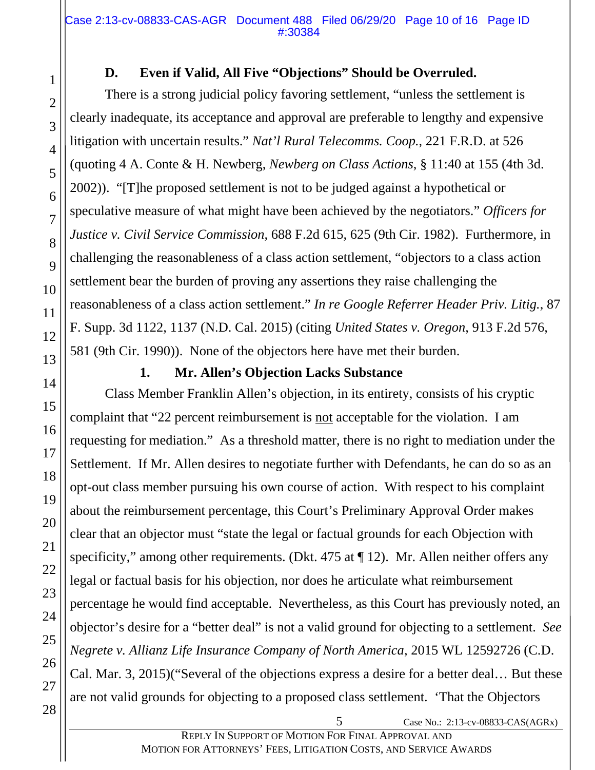# **D. Even if Valid, All Five "Objections" Should be Overruled.**

There is a strong judicial policy favoring settlement, "unless the settlement is clearly inadequate, its acceptance and approval are preferable to lengthy and expensive litigation with uncertain results." *Nat'l Rural Telecomms. Coop.*, 221 F.R.D. at 526 (quoting 4 A. Conte & H. Newberg, *Newberg on Class Actions*, § 11:40 at 155 (4th 3d. 2002)). "[T]he proposed settlement is not to be judged against a hypothetical or speculative measure of what might have been achieved by the negotiators." *Officers for Justice v. Civil Service Commission*, 688 F.2d 615, 625 (9th Cir. 1982). Furthermore, in challenging the reasonableness of a class action settlement, "objectors to a class action settlement bear the burden of proving any assertions they raise challenging the reasonableness of a class action settlement." *In re Google Referrer Header Priv. Litig.*, 87 F. Supp. 3d 1122, 1137 (N.D. Cal. 2015) (citing *United States v. Oregon*, 913 F.2d 576, 581 (9th Cir. 1990)). None of the objectors here have met their burden.

# **1. Mr. Allen's Objection Lacks Substance**

Class Member Franklin Allen's objection, in its entirety, consists of his cryptic complaint that "22 percent reimbursement is not acceptable for the violation. I am requesting for mediation." As a threshold matter, there is no right to mediation under the Settlement. If Mr. Allen desires to negotiate further with Defendants, he can do so as an opt-out class member pursuing his own course of action. With respect to his complaint about the reimbursement percentage, this Court's Preliminary Approval Order makes clear that an objector must "state the legal or factual grounds for each Objection with specificity," among other requirements. (Dkt. 475 at ¶ 12). Mr. Allen neither offers any legal or factual basis for his objection, nor does he articulate what reimbursement percentage he would find acceptable. Nevertheless, as this Court has previously noted, an objector's desire for a "better deal" is not a valid ground for objecting to a settlement. *See Negrete v. Allianz Life Insurance Company of North America*, 2015 WL 12592726 (C.D. Cal. Mar. 3, 2015)("Several of the objections express a desire for a better deal… But these are not valid grounds for objecting to a proposed class settlement. 'That the Objectors

1

2

3

4

5

6

7

8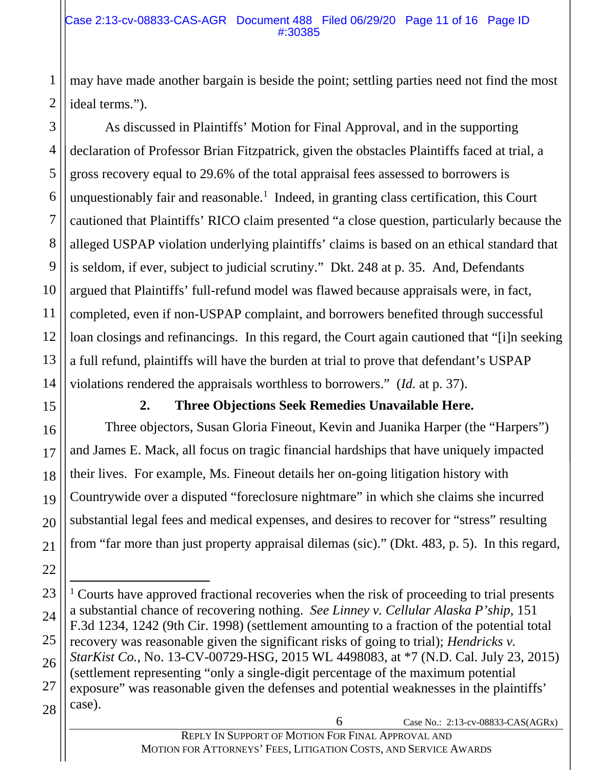may have made another bargain is beside the point; settling parties need not find the most ideal terms.").

As discussed in Plaintiffs' Motion for Final Approval, and in the supporting declaration of Professor Brian Fitzpatrick, given the obstacles Plaintiffs faced at trial, a gross recovery equal to 29.6% of the total appraisal fees assessed to borrowers is unquestionably fair and reasonable.<sup>1</sup> Indeed, in granting class certification, this Court cautioned that Plaintiffs' RICO claim presented "a close question, particularly because the alleged USPAP violation underlying plaintiffs' claims is based on an ethical standard that is seldom, if ever, subject to judicial scrutiny." Dkt. 248 at p. 35. And, Defendants argued that Plaintiffs' full-refund model was flawed because appraisals were, in fact, completed, even if non-USPAP complaint, and borrowers benefited through successful loan closings and refinancings. In this regard, the Court again cautioned that "[i]n seeking a full refund, plaintiffs will have the burden at trial to prove that defendant's USPAP violations rendered the appraisals worthless to borrowers." (*Id.* at p. 37).

# **2. Three Objections Seek Remedies Unavailable Here.**

Three objectors, Susan Gloria Fineout, Kevin and Juanika Harper (the "Harpers") and James E. Mack, all focus on tragic financial hardships that have uniquely impacted their lives. For example, Ms. Fineout details her on-going litigation history with Countrywide over a disputed "foreclosure nightmare" in which she claims she incurred substantial legal fees and medical expenses, and desires to recover for "stress" resulting from "far more than just property appraisal dilemas (sic)." (Dkt. 483, p. 5). In this regard,

6 Case No.: 2:13-cv-08833-CAS(AGRx)

1

2

3

4

5

6

7

8

9

10

<sup>28</sup>  $\overline{a}$ <sup>1</sup> Courts have approved fractional recoveries when the risk of proceeding to trial presents a substantial chance of recovering nothing. *See Linney v. Cellular Alaska P'ship,* 151 F.3d 1234, 1242 (9th Cir. 1998) (settlement amounting to a fraction of the potential total recovery was reasonable given the significant risks of going to trial); *Hendricks v. StarKist Co.*, No. 13-CV-00729-HSG, 2015 WL 4498083, at \*7 (N.D. Cal. July 23, 2015) (settlement representing "only a single-digit percentage of the maximum potential exposure" was reasonable given the defenses and potential weaknesses in the plaintiffs' case).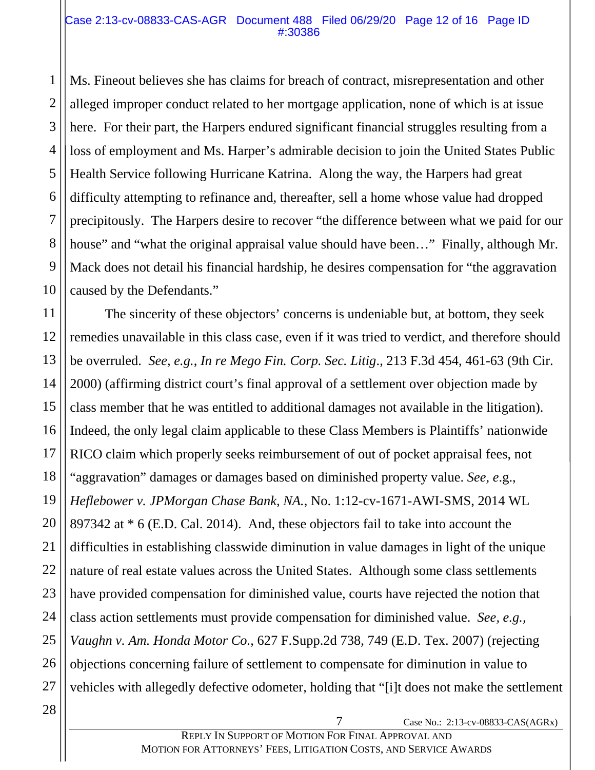#### Case 2:13-cv-08833-CAS-AGR Document 488 Filed 06/29/20 Page 12 of 16 Page ID #:30386

Ms. Fineout believes she has claims for breach of contract, misrepresentation and other alleged improper conduct related to her mortgage application, none of which is at issue here. For their part, the Harpers endured significant financial struggles resulting from a loss of employment and Ms. Harper's admirable decision to join the United States Public Health Service following Hurricane Katrina. Along the way, the Harpers had great difficulty attempting to refinance and, thereafter, sell a home whose value had dropped precipitously. The Harpers desire to recover "the difference between what we paid for our house" and "what the original appraisal value should have been..." Finally, although Mr. Mack does not detail his financial hardship, he desires compensation for "the aggravation caused by the Defendants."

11 12 13 14 15 16 17 18 19 20 21 22 23 24 25 26 The sincerity of these objectors' concerns is undeniable but, at bottom, they seek remedies unavailable in this class case, even if it was tried to verdict, and therefore should be overruled. *See, e.g.*, *In re Mego Fin. Corp. Sec. Litig*., 213 F.3d 454, 461-63 (9th Cir. 2000) (affirming district court's final approval of a settlement over objection made by class member that he was entitled to additional damages not available in the litigation). Indeed, the only legal claim applicable to these Class Members is Plaintiffs' nationwide RICO claim which properly seeks reimbursement of out of pocket appraisal fees, not "aggravation" damages or damages based on diminished property value. *See, e*.g., *Heflebower v. JPMorgan Chase Bank, NA.*, No. 1:12-cv-1671-AWI-SMS, 2014 WL 897342 at \* 6 (E.D. Cal. 2014). And, these objectors fail to take into account the difficulties in establishing classwide diminution in value damages in light of the unique nature of real estate values across the United States. Although some class settlements have provided compensation for diminished value, courts have rejected the notion that class action settlements must provide compensation for diminished value. *See, e.g., Vaughn v. Am. Honda Motor Co.*, 627 F.Supp.2d 738, 749 (E.D. Tex. 2007) (rejecting objections concerning failure of settlement to compensate for diminution in value to vehicles with allegedly defective odometer, holding that "[i]t does not make the settlement

1

2

3

4

5

6

7

8

9

10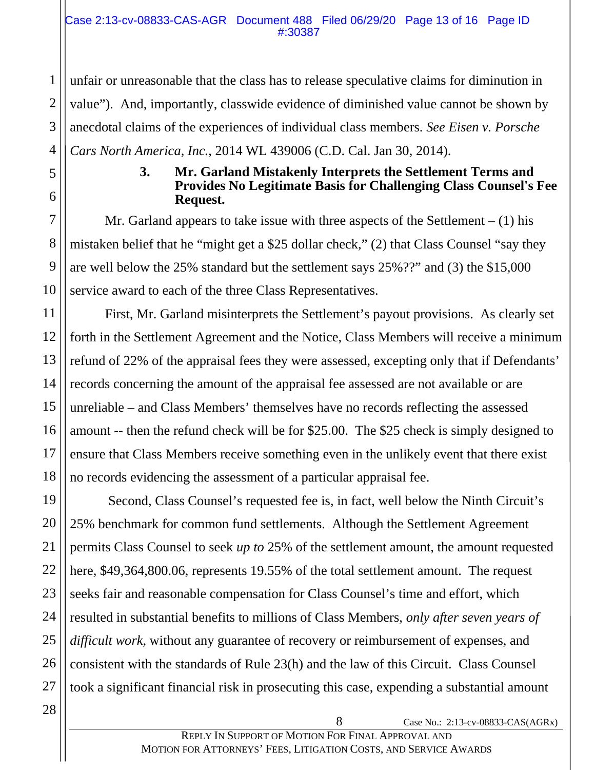unfair or unreasonable that the class has to release speculative claims for diminution in value"). And, importantly, classwide evidence of diminished value cannot be shown by anecdotal claims of the experiences of individual class members. *See Eisen v. Porsche Cars North America, Inc.*, 2014 WL 439006 (C.D. Cal. Jan 30, 2014).

## **3. Mr. Garland Mistakenly Interprets the Settlement Terms and Provides No Legitimate Basis for Challenging Class Counsel's Fee Request.**

Mr. Garland appears to take issue with three aspects of the Settlement  $- (1)$  his mistaken belief that he "might get a \$25 dollar check," (2) that Class Counsel "say they are well below the 25% standard but the settlement says 25%??" and (3) the \$15,000 service award to each of the three Class Representatives.

First, Mr. Garland misinterprets the Settlement's payout provisions. As clearly set forth in the Settlement Agreement and the Notice, Class Members will receive a minimum refund of 22% of the appraisal fees they were assessed, excepting only that if Defendants' records concerning the amount of the appraisal fee assessed are not available or are unreliable – and Class Members' themselves have no records reflecting the assessed amount -- then the refund check will be for \$25.00. The \$25 check is simply designed to ensure that Class Members receive something even in the unlikely event that there exist no records evidencing the assessment of a particular appraisal fee.

 Second, Class Counsel's requested fee is, in fact, well below the Ninth Circuit's 25% benchmark for common fund settlements. Although the Settlement Agreement permits Class Counsel to seek *up to* 25% of the settlement amount, the amount requested here, \$49,364,800.06, represents 19.55% of the total settlement amount. The request seeks fair and reasonable compensation for Class Counsel's time and effort, which resulted in substantial benefits to millions of Class Members, *only after seven years of difficult work*, without any guarantee of recovery or reimbursement of expenses, and consistent with the standards of Rule 23(h) and the law of this Circuit. Class Counsel took a significant financial risk in prosecuting this case, expending a substantial amount

1

2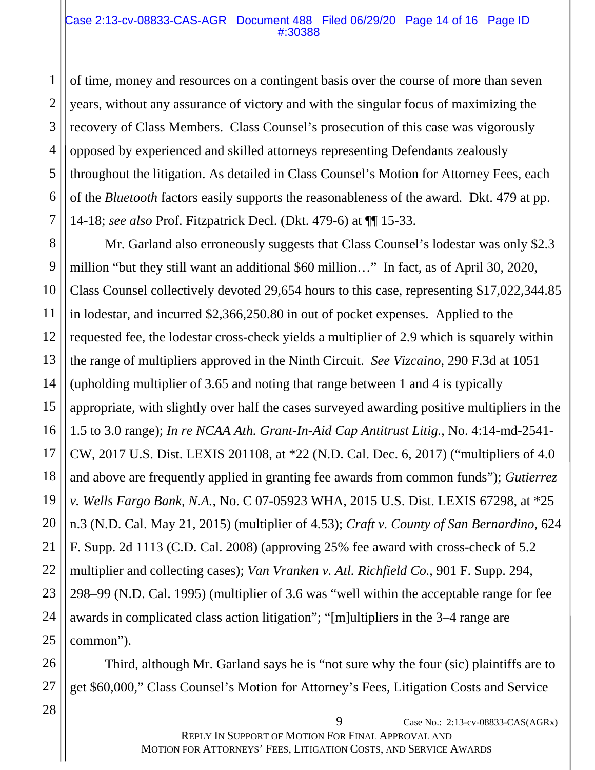#### Case 2:13-cv-08833-CAS-AGR Document 488 Filed 06/29/20 Page 14 of 16 Page ID #:30388

of time, money and resources on a contingent basis over the course of more than seven years, without any assurance of victory and with the singular focus of maximizing the recovery of Class Members. Class Counsel's prosecution of this case was vigorously opposed by experienced and skilled attorneys representing Defendants zealously throughout the litigation. As detailed in Class Counsel's Motion for Attorney Fees, each of the *Bluetooth* factors easily supports the reasonableness of the award. Dkt. 479 at pp. 14-18; *see also* Prof. Fitzpatrick Decl. (Dkt. 479-6) at ¶¶ 15-33.

8 9 10 12 13 14 15 16 18 19 20 22 23 24 25 Mr. Garland also erroneously suggests that Class Counsel's lodestar was only \$2.3 million "but they still want an additional \$60 million…" In fact, as of April 30, 2020, Class Counsel collectively devoted 29,654 hours to this case, representing \$17,022,344.85 in lodestar, and incurred \$2,366,250.80 in out of pocket expenses. Applied to the requested fee, the lodestar cross-check yields a multiplier of 2.9 which is squarely within the range of multipliers approved in the Ninth Circuit. *See Vizcaino*, 290 F.3d at 1051 (upholding multiplier of 3.65 and noting that range between 1 and 4 is typically appropriate, with slightly over half the cases surveyed awarding positive multipliers in the 1.5 to 3.0 range); *In re NCAA Ath. Grant-In-Aid Cap Antitrust Litig.*, No. 4:14-md-2541- CW, 2017 U.S. Dist. LEXIS 201108, at \*22 (N.D. Cal. Dec. 6, 2017) ("multipliers of 4.0 and above are frequently applied in granting fee awards from common funds"); *Gutierrez v. Wells Fargo Bank, N.A.*, No. C 07-05923 WHA, 2015 U.S. Dist. LEXIS 67298, at \*25 n.3 (N.D. Cal. May 21, 2015) (multiplier of 4.53); *Craft v. County of San Bernardino*, 624 F. Supp. 2d 1113 (C.D. Cal. 2008) (approving 25% fee award with cross-check of 5.2 multiplier and collecting cases); *Van Vranken v. Atl. Richfield Co.*, 901 F. Supp. 294, 298–99 (N.D. Cal. 1995) (multiplier of 3.6 was "well within the acceptable range for fee awards in complicated class action litigation"; "[m]ultipliers in the 3–4 range are common").

Third, although Mr. Garland says he is "not sure why the four (sic) plaintiffs are to get \$60,000," Class Counsel's Motion for Attorney's Fees, Litigation Costs and Service

28

26

27

1

2

3

4

5

6

7

11

17

21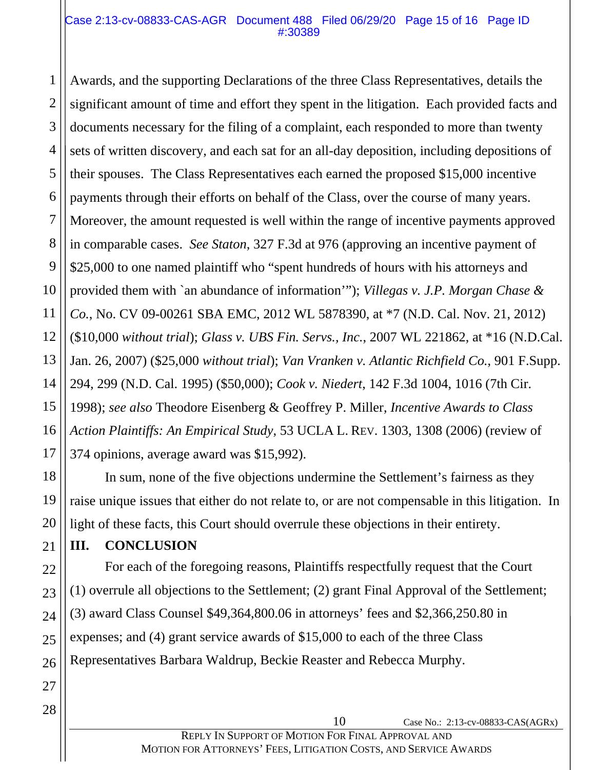#### Case 2:13-cv-08833-CAS-AGR Document 488 Filed 06/29/20 Page 15 of 16 Page ID #:30389

1 2 3 4 5 6 7 8 9 10 11 12 13 14 15 16 17 Awards, and the supporting Declarations of the three Class Representatives, details the significant amount of time and effort they spent in the litigation. Each provided facts and documents necessary for the filing of a complaint, each responded to more than twenty sets of written discovery, and each sat for an all-day deposition, including depositions of their spouses. The Class Representatives each earned the proposed \$15,000 incentive payments through their efforts on behalf of the Class, over the course of many years. Moreover, the amount requested is well within the range of incentive payments approved in comparable cases. *See Staton*, 327 F.3d at 976 (approving an incentive payment of \$25,000 to one named plaintiff who "spent hundreds of hours with his attorneys and provided them with `an abundance of information'"); *Villegas v. J.P. Morgan Chase & Co.*, No. CV 09-00261 SBA EMC, 2012 WL 5878390, at \*7 (N.D. Cal. Nov. 21, 2012) (\$10,000 *without trial*); *Glass v. UBS Fin. Servs., Inc.*, 2007 WL 221862, at \*16 (N.D.Cal. Jan. 26, 2007) (\$25,000 *without trial*); *Van Vranken v. Atlantic Richfield Co.*, 901 F.Supp. 294, 299 (N.D. Cal. 1995) (\$50,000); *Cook v. Niedert*, 142 F.3d 1004, 1016 (7th Cir. 1998); *see also* Theodore Eisenberg & Geoffrey P. Miller, *Incentive Awards to Class Action Plaintiffs: An Empirical Study*, 53 UCLA L. REV. 1303, 1308 (2006) (review of 374 opinions, average award was \$15,992).

In sum, none of the five objections undermine the Settlement's fairness as they raise unique issues that either do not relate to, or are not compensable in this litigation. In light of these facts, this Court should overrule these objections in their entirety.

## **III. CONCLUSION**

For each of the foregoing reasons, Plaintiffs respectfully request that the Court (1) overrule all objections to the Settlement; (2) grant Final Approval of the Settlement; (3) award Class Counsel \$49,364,800.06 in attorneys' fees and \$2,366,250.80 in expenses; and (4) grant service awards of \$15,000 to each of the three Class Representatives Barbara Waldrup, Beckie Reaster and Rebecca Murphy.

18

19

20

21

22

23

24

25

26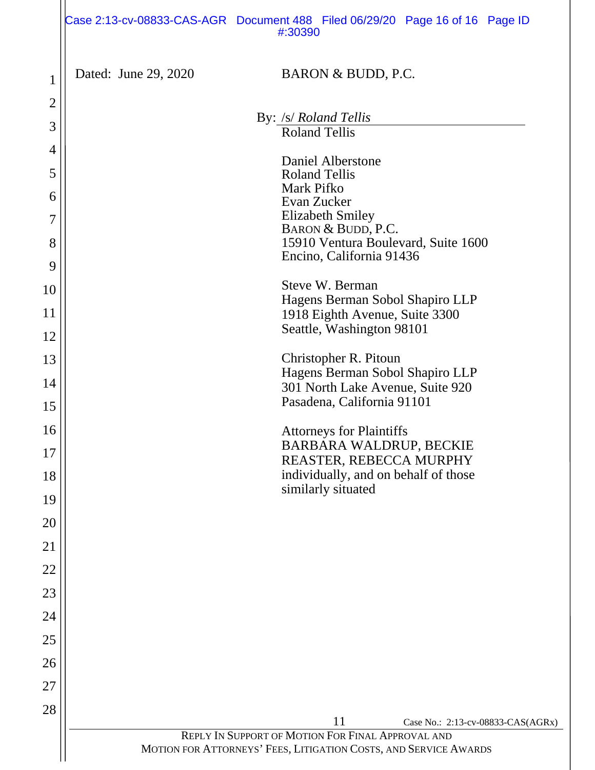|                | Case 2:13-cv-08833-CAS-AGR Document 488 Filed 06/29/20 Page 16 of 16 Page ID<br>#:30390      |
|----------------|----------------------------------------------------------------------------------------------|
| $\mathbf 1$    | Dated: June 29, 2020<br>BARON & BUDD, P.C.                                                   |
| $\overline{2}$ | By: /s/ Roland Tellis                                                                        |
| 3              | <b>Roland Tellis</b>                                                                         |
| $\overline{4}$ | Daniel Alberstone                                                                            |
| 5              | <b>Roland Tellis</b><br>Mark Pifko                                                           |
| 6              | Evan Zucker<br><b>Elizabeth Smiley</b>                                                       |
| $\overline{7}$ | BARON & BUDD, P.C.                                                                           |
| 8              | 15910 Ventura Boulevard, Suite 1600<br>Encino, California 91436                              |
| 9              | Steve W. Berman                                                                              |
| 10             | Hagens Berman Sobol Shapiro LLP                                                              |
| 11<br>12       | 1918 Eighth Avenue, Suite 3300<br>Seattle, Washington 98101                                  |
| 13             | Christopher R. Pitoun                                                                        |
| 14             | Hagens Berman Sobol Shapiro LLP                                                              |
| 15             | 301 North Lake Avenue, Suite 920<br>Pasadena, California 91101                               |
| 16             | <b>Attorneys for Plaintiffs</b>                                                              |
| 17             | BARBARA WALDRUP, BECKIE                                                                      |
| 18             | REASTER, REBECCA MURPHY<br>individually, and on behalf of those                              |
| 19             | similarly situated                                                                           |
| 20             |                                                                                              |
| 21             |                                                                                              |
| 22             |                                                                                              |
| 23             |                                                                                              |
| 24             |                                                                                              |
| 25             |                                                                                              |
| 26             |                                                                                              |
| 27             |                                                                                              |
| 28             |                                                                                              |
|                | 11<br>Case No.: 2:13-cv-08833-CAS(AGRx)<br>REPLY IN SUPPORT OF MOTION FOR FINAL APPROVAL AND |
|                | MOTION FOR ATTORNEYS' FEES, LITIGATION COSTS, AND SERVICE AWARDS                             |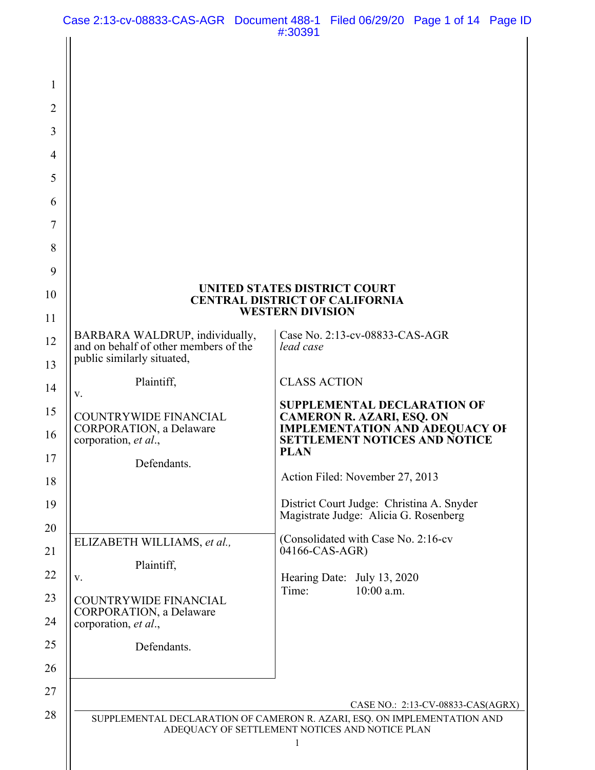| 1              |                                                                                                       |                                                                                                                                                                      |
|----------------|-------------------------------------------------------------------------------------------------------|----------------------------------------------------------------------------------------------------------------------------------------------------------------------|
| $\overline{2}$ |                                                                                                       |                                                                                                                                                                      |
| $\overline{3}$ |                                                                                                       |                                                                                                                                                                      |
| $\overline{4}$ |                                                                                                       |                                                                                                                                                                      |
| 5              |                                                                                                       |                                                                                                                                                                      |
| 6              |                                                                                                       |                                                                                                                                                                      |
| 7              |                                                                                                       |                                                                                                                                                                      |
| 8              |                                                                                                       |                                                                                                                                                                      |
| 9              |                                                                                                       |                                                                                                                                                                      |
| 10             |                                                                                                       | UNITED STATES DISTRICT COURT<br><b>CENTRAL DISTRICT OF CALIFORNIA</b><br><b>WESTERN DIVISION</b>                                                                     |
| 11             |                                                                                                       |                                                                                                                                                                      |
| 12             | BARBARA WALDRUP, individually,<br>and on behalf of other members of the<br>public similarly situated, | Case No. 2:13-cv-08833-CAS-AGR<br>lead case                                                                                                                          |
| 13             |                                                                                                       | <b>CLASS ACTION</b>                                                                                                                                                  |
| 14             | Plaintiff,<br>V.                                                                                      |                                                                                                                                                                      |
| 15<br>16       | <b>COUNTRYWIDE FINANCIAL</b><br>CORPORATION, a Delaware<br>corporation, et al.,                       | <b>SUPPLEMENTAL DECLARATION OF</b><br><b>CAMERON R. AZARI, ESQ. ON</b><br><b>IMPLEMENTATION AND ADEQUACY OF</b><br><b>SETTLEMENT NOTICES AND NOTICE</b>              |
| 17             | Defendants.                                                                                           | <b>PLAN</b>                                                                                                                                                          |
| 18             |                                                                                                       | Action Filed: November 27, 2013                                                                                                                                      |
| 19             |                                                                                                       | District Court Judge: Christina A. Snyder<br>Magistrate Judge: Alicia G. Rosenberg                                                                                   |
| 20             | ELIZABETH WILLIAMS, et al.,                                                                           | (Consolidated with Case No. 2:16-cv                                                                                                                                  |
| 21             | Plaintiff,                                                                                            | 04166-CAS-AGR)                                                                                                                                                       |
| 22             | V.                                                                                                    | Hearing Date: July 13, 2020<br>Time:<br>$10:00$ a.m.                                                                                                                 |
| 23             | COUNTRYWIDE FINANCIAL<br><b>CORPORATION</b> , a Delaware                                              |                                                                                                                                                                      |
| 24             | corporation, et al.,                                                                                  |                                                                                                                                                                      |
| 25             | Defendants.                                                                                           |                                                                                                                                                                      |
| 26             |                                                                                                       |                                                                                                                                                                      |
| 27             |                                                                                                       |                                                                                                                                                                      |
| 28             |                                                                                                       | CASE NO.: 2:13-CV-08833-CAS(AGRX)<br>SUPPLEMENTAL DECLARATION OF CAMERON R. AZARI, ESQ. ON IMPLEMENTATION AND<br>ADEQUACY OF SETTLEMENT NOTICES AND NOTICE PLAN<br>1 |
|                |                                                                                                       |                                                                                                                                                                      |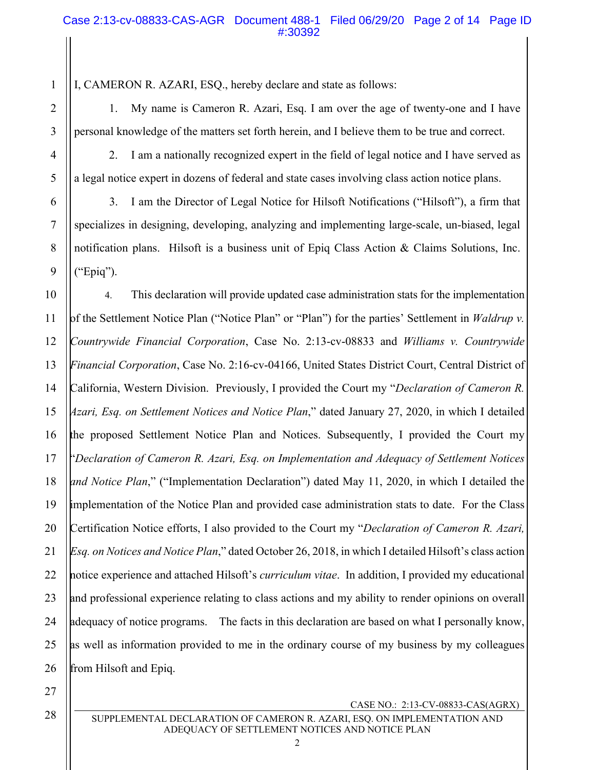I, CAMERON R. AZARI, ESQ., hereby declare and state as follows:

1. My name is Cameron R. Azari, Esq. I am over the age of twenty-one and I have personal knowledge of the matters set forth herein, and I believe them to be true and correct.

1

2

3

4

5

6

7

8

9

2. I am a nationally recognized expert in the field of legal notice and I have served as a legal notice expert in dozens of federal and state cases involving class action notice plans.

3. I am the Director of Legal Notice for Hilsoft Notifications ("Hilsoft"), a firm that specializes in designing, developing, analyzing and implementing large-scale, un-biased, legal notification plans. Hilsoft is a business unit of Epiq Class Action & Claims Solutions, Inc. ("Epiq").

10 11 12 13 14 15 16 17 18 19 20 21 22 23 24 25 26 4. This declaration will provide updated case administration stats for the implementation of the Settlement Notice Plan ("Notice Plan" or "Plan") for the parties' Settlement in *Waldrup v. Countrywide Financial Corporation*, Case No. 2:13-cv-08833 and *Williams v. Countrywide Financial Corporation*, Case No. 2:16-cv-04166, United States District Court, Central District of California, Western Division. Previously, I provided the Court my "*Declaration of Cameron R. Azari, Esq. on Settlement Notices and Notice Plan*," dated January 27, 2020, in which I detailed the proposed Settlement Notice Plan and Notices. Subsequently, I provided the Court my "*Declaration of Cameron R. Azari, Esq. on Implementation and Adequacy of Settlement Notices and Notice Plan*," ("Implementation Declaration") dated May 11, 2020, in which I detailed the implementation of the Notice Plan and provided case administration stats to date. For the Class Certification Notice efforts, I also provided to the Court my "*Declaration of Cameron R. Azari, Esq. on Notices and Notice Plan*," dated October 26, 2018, in which I detailed Hilsoft's class action notice experience and attached Hilsoft's *curriculum vitae*. In addition, I provided my educational and professional experience relating to class actions and my ability to render opinions on overall adequacy of notice programs. The facts in this declaration are based on what I personally know, as well as information provided to me in the ordinary course of my business by my colleagues from Hilsoft and Epiq.

CASE NO.: 2:13-CV-08833-CAS(AGRX)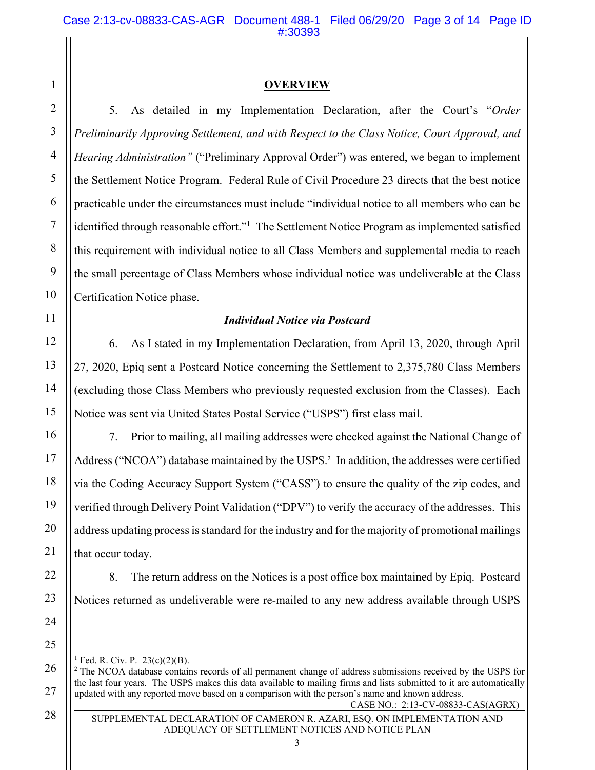#### **OVERVIEW**

5. As detailed in my Implementation Declaration, after the Court's "*Order Preliminarily Approving Settlement, and with Respect to the Class Notice, Court Approval, and Hearing Administration"* ("Preliminary Approval Order") was entered, we began to implement the Settlement Notice Program. Federal Rule of Civil Procedure 23 directs that the best notice practicable under the circumstances must include "individual notice to all members who can be identified through reasonable effort."<sup>1</sup> The Settlement Notice Program as implemented satisfied this requirement with individual notice to all Class Members and supplemental media to reach the small percentage of Class Members whose individual notice was undeliverable at the Class Certification Notice phase.

#### *Individual Notice via Postcard*

6. As I stated in my Implementation Declaration, from April 13, 2020, through April 27, 2020, Epiq sent a Postcard Notice concerning the Settlement to 2,375,780 Class Members (excluding those Class Members who previously requested exclusion from the Classes). Each Notice was sent via United States Postal Service ("USPS") first class mail.

7. Prior to mailing, all mailing addresses were checked against the National Change of Address ("NCOA") database maintained by the USPS.<sup>2</sup> In addition, the addresses were certified via the Coding Accuracy Support System ("CASS") to ensure the quality of the zip codes, and verified through Delivery Point Validation ("DPV") to verify the accuracy of the addresses. This address updating process is standard for the industry and for the majority of promotional mailings that occur today.

8. The return address on the Notices is a post office box maintained by Epiq. Postcard Notices returned as undeliverable were re-mailed to any new address available through USPS

<sup>1</sup> Fed. R. Civ. P.  $23(c)(2)(B)$ .

CASE NO.: 2:13-CV-08833-CAS(AGRX) <sup>2</sup> The NCOA database contains records of all permanent change of address submissions received by the USPS for the last four years. The USPS makes this data available to mailing firms and lists submitted to it are automatically updated with any reported move based on a comparison with the person's name and known address.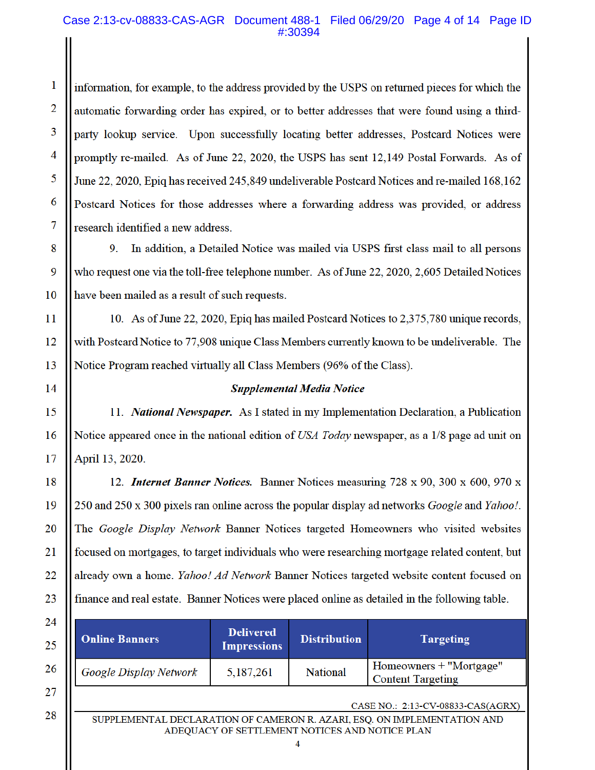#### Case 2:13-cv-08833-CAS-AGR Document 488-1 Filed 06/29/20 Page 4 of 14 Page ID #:30394

information, for example, to the address provided by the USPS on returned pieces for which the automatic forwarding order has expired, or to better addresses that were found using a thirdparty lookup service. Upon successfully locating better addresses, Postcard Notices were promptly re-mailed. As of June 22, 2020, the USPS has sent 12,149 Postal Forwards. As of June 22, 2020, Epiq has received 245,849 undeliverable Postcard Notices and re-mailed 168,162 Postcard Notices for those addresses where a forwarding address was provided, or address research identified a new address.

9. In addition, a Detailed Notice was mailed via USPS first class mail to all persons who request one via the toll-free telephone number. As of June 22, 2020, 2,605 Detailed Notices have been mailed as a result of such requests.

10. As of June 22, 2020, Epiq has mailed Postcard Notices to 2,375,780 unique records, with Postcard Notice to 77,908 unique Class Members currently known to be undeliverable. The Notice Program reached virtually all Class Members (96% of the Class).

1

 $\overline{2}$ 

3

4

5

6

#### **Supplemental Media Notice**

11. National Newspaper. As I stated in my Implementation Declaration, a Publication Notice appeared once in the national edition of USA Today newspaper, as a 1/8 page ad unit on April 13, 2020.

12. Internet Banner Notices. Banner Notices measuring 728 x 90, 300 x 600, 970 x 250 and 250 x 300 pixels ran online across the popular display ad networks *Google* and *Yahoo!*. The *Google Display Network* Banner Notices targeted Homeowners who visited websites focused on mortgages, to target individuals who were researching mortgage related content, but already own a home. *Yahoo! Ad Network* Banner Notices targeted website content focused on finance and real estate. Banner Notices were placed online as detailed in the following table.

| <b>Online Banners</b>  | <b>Delivered</b><br><b>Impressions</b> | <b>Distribution</b>               | <b>Targeting</b>                                      |
|------------------------|----------------------------------------|-----------------------------------|-------------------------------------------------------|
| Google Display Network | 5,187,261                              | <b>National</b>                   | Homeowners $+$ "Mortgage"<br><b>Content Targeting</b> |
|                        |                                        | CASE NO.: 2:13-CV-08833-CAS(AGRX) |                                                       |

SUPPLEMENTAL DECLARATION OF CAMERON R. AZARI, ESQ. ON IMPLEMENTATION AND ADEQUACY OF SETTLEMENT NOTICES AND NOTICE PLAN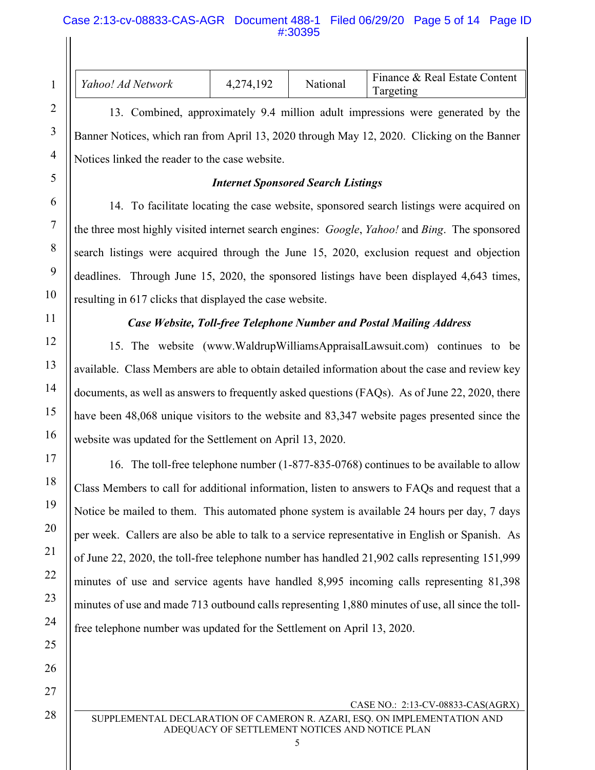| Yahoo! Ad Network                                                                                | 4,274,192                                                               | National | Finance & Real Estate Content<br>Targeting                                                        |
|--------------------------------------------------------------------------------------------------|-------------------------------------------------------------------------|----------|---------------------------------------------------------------------------------------------------|
|                                                                                                  |                                                                         |          | 13. Combined, approximately 9.4 million adult impressions were generated by the                   |
|                                                                                                  |                                                                         |          | Banner Notices, which ran from April 13, 2020 through May 12, 2020. Clicking on the Banner        |
| Notices linked the reader to the case website.                                                   |                                                                         |          |                                                                                                   |
|                                                                                                  | <b>Internet Sponsored Search Listings</b>                               |          |                                                                                                   |
|                                                                                                  |                                                                         |          | 14. To facilitate locating the case website, sponsored search listings were acquired on           |
|                                                                                                  |                                                                         |          | the three most highly visited internet search engines: Google, Yahoo! and Bing. The sponsored     |
|                                                                                                  |                                                                         |          | search listings were acquired through the June 15, 2020, exclusion request and objection          |
|                                                                                                  |                                                                         |          | deadlines. Through June 15, 2020, the sponsored listings have been displayed 4,643 times,         |
| resulting in 617 clicks that displayed the case website.                                         |                                                                         |          |                                                                                                   |
|                                                                                                  |                                                                         |          | Case Website, Toll-free Telephone Number and Postal Mailing Address                               |
|                                                                                                  |                                                                         |          | 15. The website (www.WaldrupWilliamsAppraisalLawsuit.com) continues to be                         |
|                                                                                                  |                                                                         |          | available. Class Members are able to obtain detailed information about the case and review key    |
| documents, as well as answers to frequently asked questions (FAQs). As of June 22, 2020, there   |                                                                         |          |                                                                                                   |
|                                                                                                  |                                                                         |          | have been 48,068 unique visitors to the website and 83,347 website pages presented since the      |
| website was updated for the Settlement on April 13, 2020.                                        |                                                                         |          |                                                                                                   |
|                                                                                                  |                                                                         |          | 16. The toll-free telephone number (1-877-835-0768) continues to be available to allow            |
| Class Members to call for additional information, listen to answers to FAQs and request that a   |                                                                         |          |                                                                                                   |
| Notice be mailed to them. This automated phone system is available 24 hours per day, 7 days      |                                                                         |          |                                                                                                   |
| per week. Callers are also be able to talk to a service representative in English or Spanish. As |                                                                         |          |                                                                                                   |
|                                                                                                  |                                                                         |          | of June 22, 2020, the toll-free telephone number has handled 21,902 calls representing 151,999    |
|                                                                                                  |                                                                         |          | minutes of use and service agents have handled 8,995 incoming calls representing 81,398           |
|                                                                                                  |                                                                         |          | minutes of use and made 713 outbound calls representing 1,880 minutes of use, all since the toll- |
|                                                                                                  | free telephone number was updated for the Settlement on April 13, 2020. |          |                                                                                                   |

CASE NO.: 2:13-CV-08833-CAS(AGRX)

1

2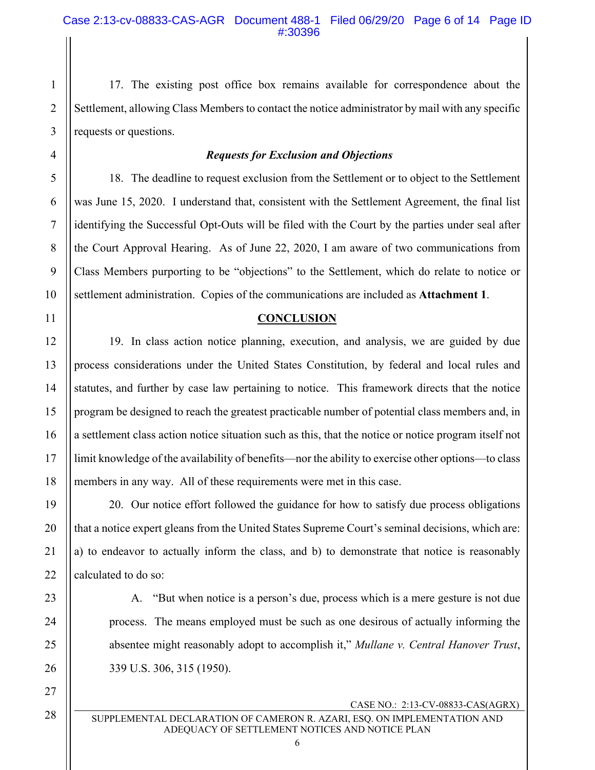17. The existing post office box remains available for correspondence about the Settlement, allowing Class Members to contact the notice administrator by mail with any specific requests or questions.

#### *Requests for Exclusion and Objections*

18. The deadline to request exclusion from the Settlement or to object to the Settlement was June 15, 2020. I understand that, consistent with the Settlement Agreement, the final list identifying the Successful Opt-Outs will be filed with the Court by the parties under seal after the Court Approval Hearing. As of June 22, 2020, I am aware of two communications from Class Members purporting to be "objections" to the Settlement, which do relate to notice or settlement administration. Copies of the communications are included as **Attachment 1**.

#### **CONCLUSION**

19. In class action notice planning, execution, and analysis, we are guided by due process considerations under the United States Constitution, by federal and local rules and statutes, and further by case law pertaining to notice. This framework directs that the notice program be designed to reach the greatest practicable number of potential class members and, in a settlement class action notice situation such as this, that the notice or notice program itself not limit knowledge of the availability of benefits—nor the ability to exercise other options—to class members in any way. All of these requirements were met in this case.

20. Our notice effort followed the guidance for how to satisfy due process obligations that a notice expert gleans from the United States Supreme Court's seminal decisions, which are: a) to endeavor to actually inform the class, and b) to demonstrate that notice is reasonably calculated to do so:

A. "But when notice is a person's due, process which is a mere gesture is not due process. The means employed must be such as one desirous of actually informing the absentee might reasonably adopt to accomplish it," *Mullane v. Central Hanover Trust*, 339 U.S. 306, 315 (1950).

CASE NO.: 2:13-CV-08833-CAS(AGRX)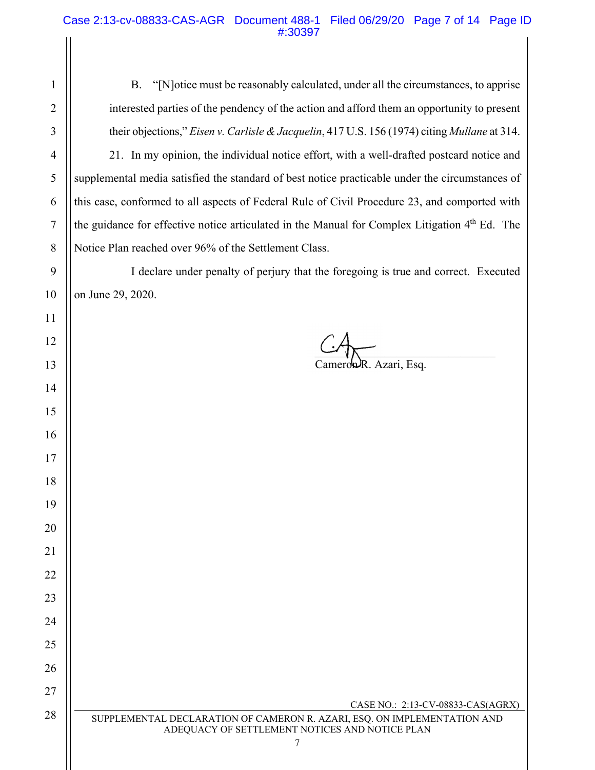# Case 2:13-cv-08833-CAS-AGR Document 488-1 Filed 06/29/20 Page 7 of 14 Page ID #:30397 $\frac{1}{2}$

| 1              | "[N] otice must be reasonably calculated, under all the circumstances, to apprise<br><b>B.</b>                                               |
|----------------|----------------------------------------------------------------------------------------------------------------------------------------------|
| $\overline{2}$ | interested parties of the pendency of the action and afford them an opportunity to present                                                   |
| 3              | their objections," Eisen v. Carlisle & Jacquelin, 417 U.S. 156 (1974) citing Mullane at 314.                                                 |
| 4              | 21. In my opinion, the individual notice effort, with a well-drafted postcard notice and                                                     |
| 5              | supplemental media satisfied the standard of best notice practicable under the circumstances of                                              |
| 6              | this case, conformed to all aspects of Federal Rule of Civil Procedure 23, and comported with                                                |
| 7              | the guidance for effective notice articulated in the Manual for Complex Litigation 4 <sup>th</sup> Ed. The                                   |
| 8              | Notice Plan reached over 96% of the Settlement Class.                                                                                        |
| 9              | I declare under penalty of perjury that the foregoing is true and correct. Executed                                                          |
| 10             | on June 29, 2020.                                                                                                                            |
| 11             |                                                                                                                                              |
| 12             |                                                                                                                                              |
| 13             | Cameron R. Azari, Esq.                                                                                                                       |
| 14             |                                                                                                                                              |
| 15             |                                                                                                                                              |
| 16             |                                                                                                                                              |
| 17             |                                                                                                                                              |
| 18             |                                                                                                                                              |
| 19             |                                                                                                                                              |
| 20             |                                                                                                                                              |
| 21             |                                                                                                                                              |
| 22             |                                                                                                                                              |
| 23             |                                                                                                                                              |
| 24             |                                                                                                                                              |
| 25             |                                                                                                                                              |
| 26             |                                                                                                                                              |
| 27             | CASE NO.: 2:13-CV-08833-CAS(AGRX)                                                                                                            |
| 28             | SUPPLEMENTAL DECLARATION OF CAMERON R. AZARI, ESQ. ON IMPLEMENTATION AND<br>ADEQUACY OF SETTLEMENT NOTICES AND NOTICE PLAN<br>$\overline{7}$ |
|                |                                                                                                                                              |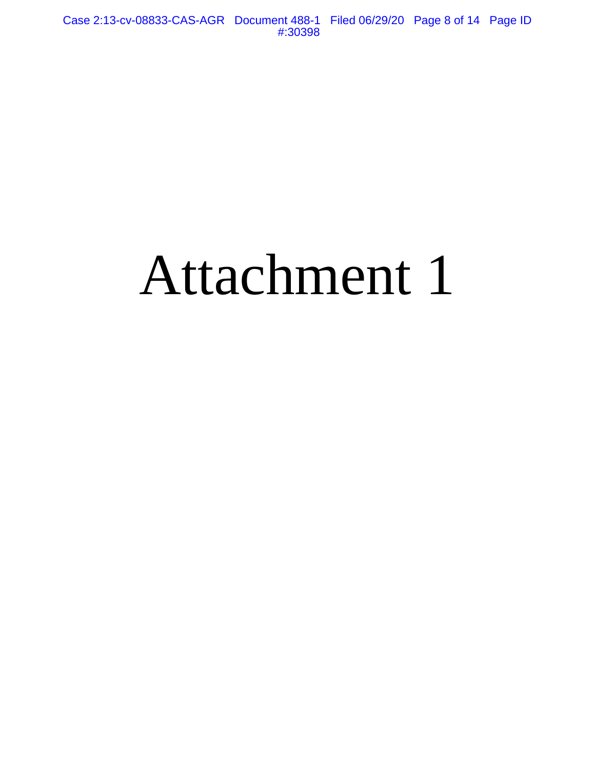# Attachment 1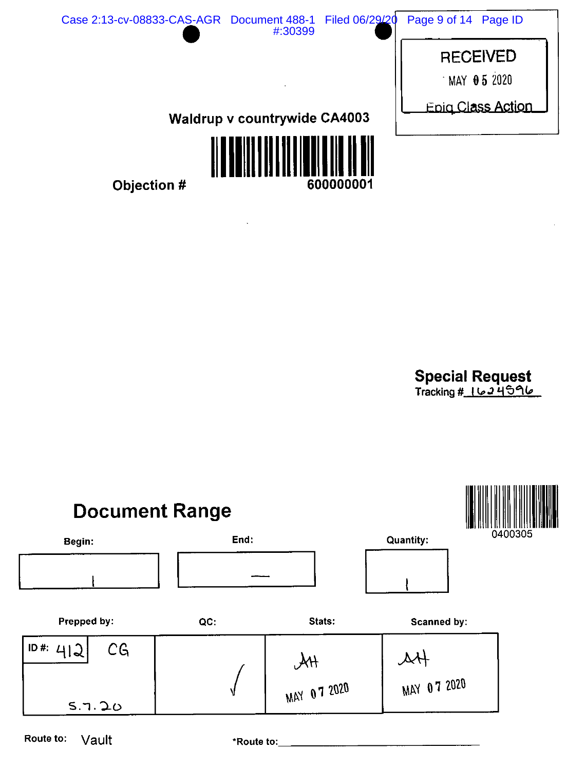

 $\bar{\mathcal{A}}$ 

Special Request<br>Tracking # 1624596



Route to: Vault

\*Route to: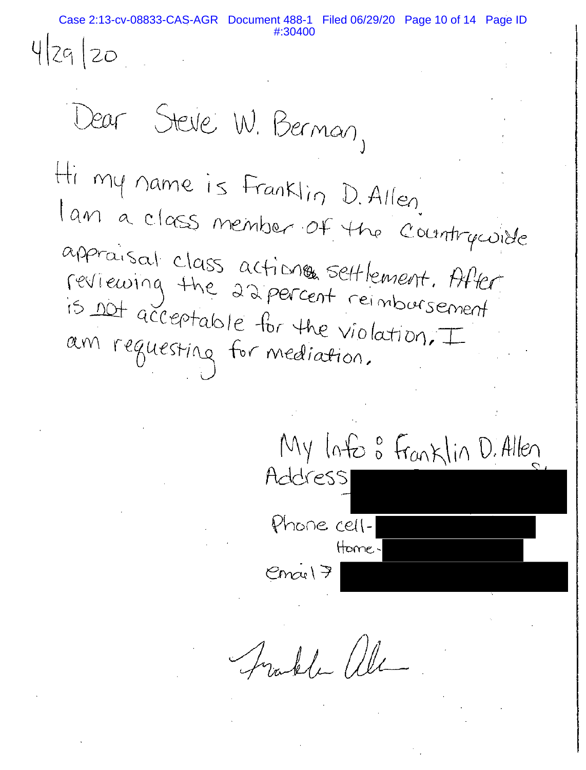Case 2:13-cv-08833-CAS-AGR Document 488-1 Filed 06/29/20 Page 10 of 14 Page ID

4 29 20

Dear Steve W. Bernan, Hi my name is Franklin D. Allen. lan a class member of the countrycoide approvisal class actions settlement. After reviewing the 22 percent reimbursement.<br>is not acceptable for the us in horsement is not acceptable for the violation, I am requesting for mediation.

My loto : Franklin D. Allen Address Phone cell-Home  $Cmct$  $7$ 

Frakle alle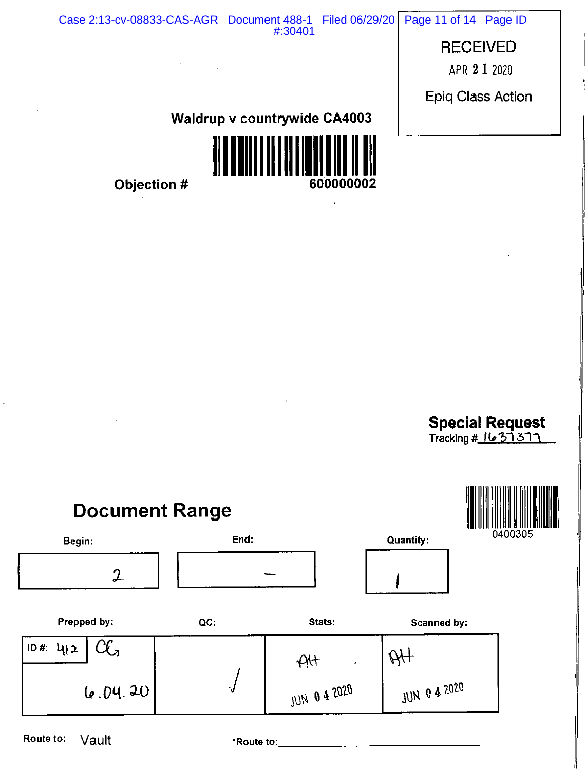Case 2:13-cv-08833-CAS-AGR Document 488-1 Filed 06/29/20 Page 11 of 14 Page ID #:30401**RECEIVED** APR 2 1 2020 **Epiq Class Action Waldrup v countrywide CA4003** 

600000002

Objection #

 $\ddot{\phantom{a}}$ 



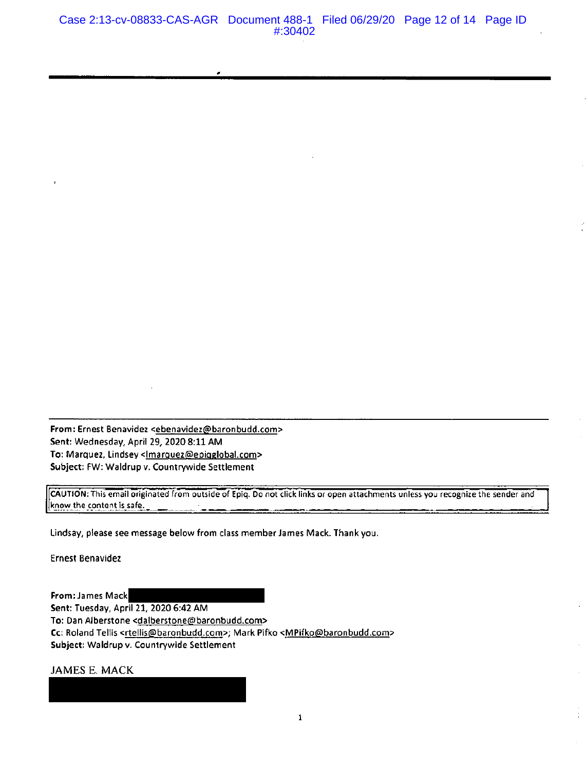From: Ernest Benavidez <ebenavidez@baronbudd.com> Sent: Wednesday, April 29, 2020 8:11 AM Subject: FW: Waldrup v. Countrywide Settlement

CAUTION: This email originated from outside of Epiq. Do not click links or open attachments unless you recognize the sender and know the content is safe.

Lindsay, please see message below from class member James Mack. Thank you.

**Ernest Benavidez** 

From: James Mack Sent: Tuesday, April 21, 2020 6:42 AM To: Dan Alberstone <dalberstone@baronbudd.com> Cc: Roland Tellis <rtellis@baronbudd.com>; Mark Pifko <MPifko@baronbudd.com> Subject: Waldrup v. Countrywide Settlement

JAMES E. MACK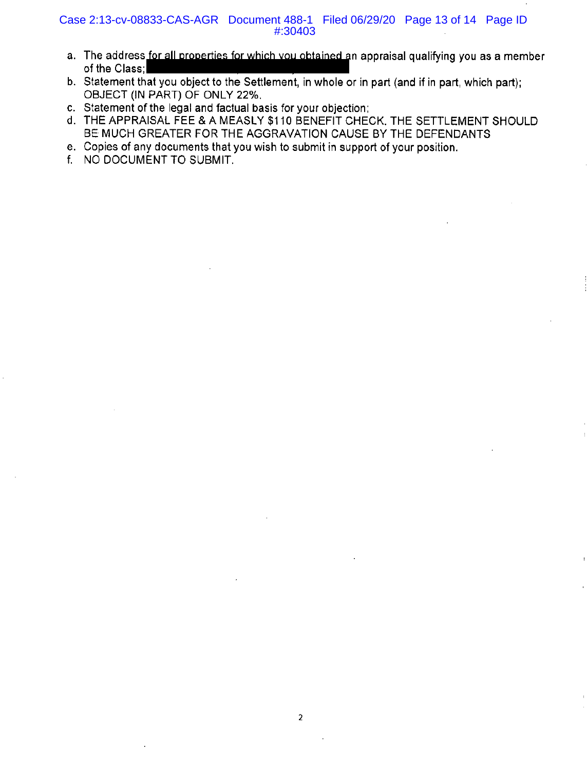#### Case 2:13-cv-08833-CAS-AGR Document 488-1 Filed 06/29/20 Page 13 of 14 Page ID #:30403

- a. The address for all properties for which you obtained an appraisal qualifying you as a member of the Class;
- b. Statement that you object to the Settlement, in whole or in part (and if in part, which part); OBJECT (IN PART) OF ONLY 22%.
- c. Statement of the legal and factual basis for your objection;
- d. THE APPRAISAL FEE & A MEASLY \$110 BENEFIT CHECK, THE SETTLEMENT SHOULD BE MUCH GREATER FOR THE AGGRAVATION CAUSE BY THE DEFENDANTS
- e. Copies of any documents that you wish to submit in support of your position.
- f. NO DOCUMENT TO SUBMIT.